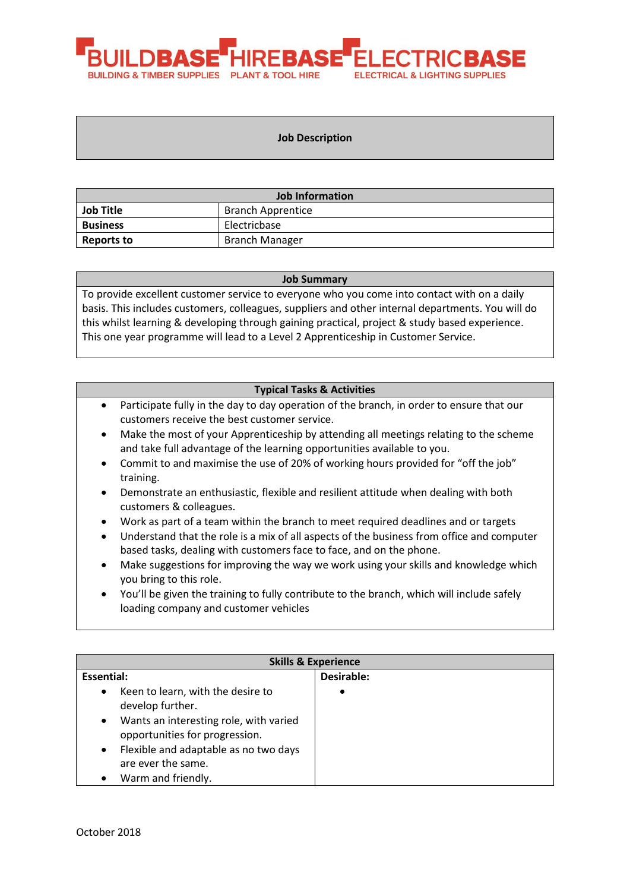

#### **Job Description**

| <b>Job Information</b>                       |                       |  |
|----------------------------------------------|-----------------------|--|
| <b>Job Title</b><br><b>Branch Apprentice</b> |                       |  |
| <b>Business</b>                              | Electricbase          |  |
| Reports to                                   | <b>Branch Manager</b> |  |

#### **Job Summary**

To provide excellent customer service to everyone who you come into contact with on a daily basis. This includes customers, colleagues, suppliers and other internal departments. You will do this whilst learning & developing through gaining practical, project & study based experience. This one year programme will lead to a Level 2 Apprenticeship in Customer Service.

#### **Typical Tasks & Activities**

- Participate fully in the day to day operation of the branch, in order to ensure that our customers receive the best customer service.
- Make the most of your Apprenticeship by attending all meetings relating to the scheme and take full advantage of the learning opportunities available to you.
- Commit to and maximise the use of 20% of working hours provided for "off the job" training.
- Demonstrate an enthusiastic, flexible and resilient attitude when dealing with both customers & colleagues.
- Work as part of a team within the branch to meet required deadlines and or targets
- Understand that the role is a mix of all aspects of the business from office and computer based tasks, dealing with customers face to face, and on the phone.
- Make suggestions for improving the way we work using your skills and knowledge which you bring to this role.
- You'll be given the training to fully contribute to the branch, which will include safely loading company and customer vehicles

| <b>Skills &amp; Experience</b> |                                                                          |            |  |
|--------------------------------|--------------------------------------------------------------------------|------------|--|
| Essential:                     |                                                                          | Desirable: |  |
| $\bullet$                      | Keen to learn, with the desire to<br>develop further.                    | $\bullet$  |  |
| $\bullet$                      | Wants an interesting role, with varied<br>opportunities for progression. |            |  |
| $\bullet$                      | Flexible and adaptable as no two days<br>are ever the same.              |            |  |
|                                | Warm and friendly.                                                       |            |  |